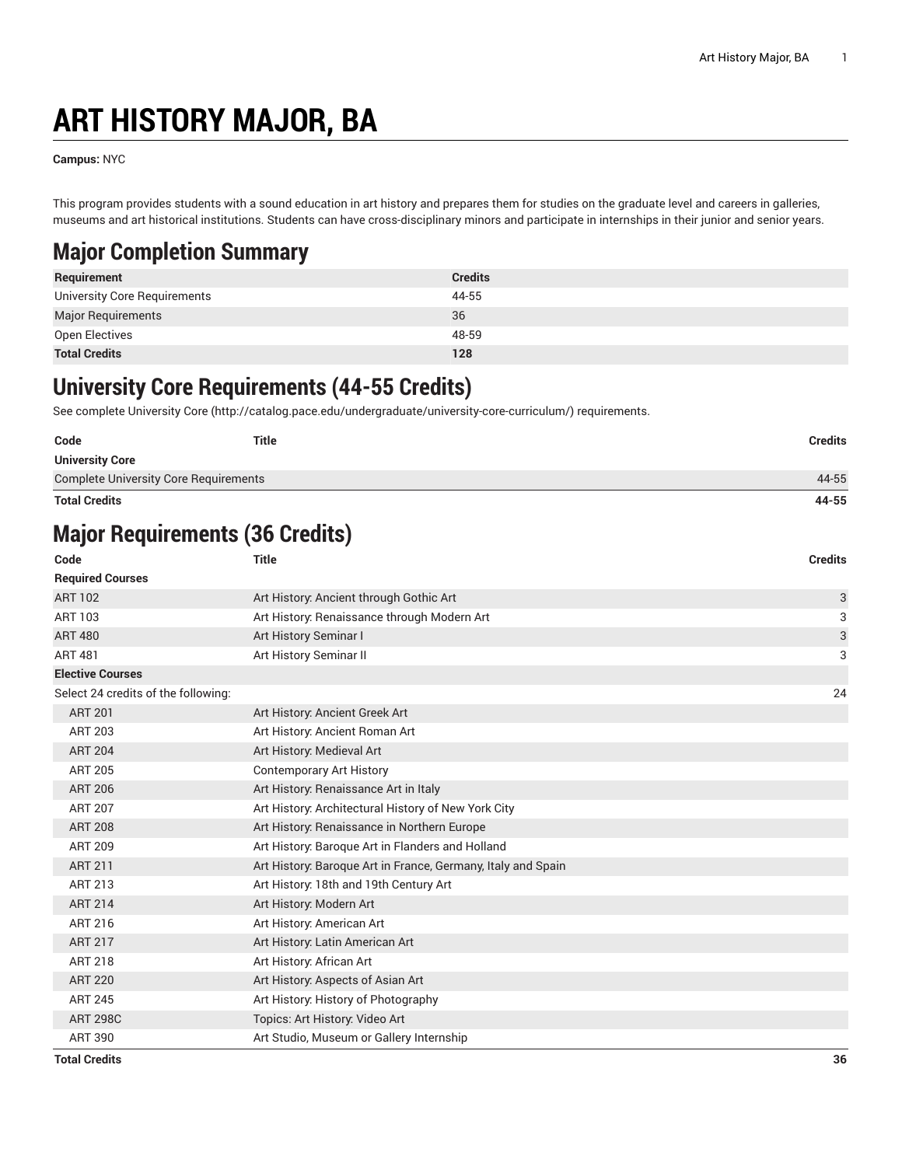# **ART HISTORY MAJOR, BA**

**Campus:** NYC

This program provides students with a sound education in art history and prepares them for studies on the graduate level and careers in galleries, museums and art historical institutions. Students can have cross-disciplinary minors and participate in internships in their junior and senior years.

#### **Major Completion Summary**

| Requirement                  | <b>Credits</b> |
|------------------------------|----------------|
| University Core Requirements | 44-55          |
| <b>Major Requirements</b>    | 36             |
| Open Electives               | 48-59          |
| <b>Total Credits</b>         | 128            |

#### **University Core Requirements (44-55 Credits)**

See complete [University](http://catalog.pace.edu/undergraduate/university-core-curriculum/) Core (<http://catalog.pace.edu/undergraduate/university-core-curriculum/>) requirements.

| Code<br><b>University Core</b>               | <b>Title</b> | <b>Credits</b> |
|----------------------------------------------|--------------|----------------|
| <b>Complete University Core Requirements</b> |              | 44-55          |
| <b>Total Credits</b>                         |              | 44-55          |

### **Major Requirements (36 Credits)**

| Code                                | <b>Title</b>                                                 | <b>Credits</b> |
|-------------------------------------|--------------------------------------------------------------|----------------|
| <b>Required Courses</b>             |                                                              |                |
| <b>ART 102</b>                      | Art History: Ancient through Gothic Art                      | 3              |
| ART 103                             | Art History: Renaissance through Modern Art                  | 3              |
| <b>ART 480</b>                      | Art History Seminar I                                        | 3              |
| <b>ART 481</b>                      | Art History Seminar II                                       | 3              |
| <b>Elective Courses</b>             |                                                              |                |
| Select 24 credits of the following: |                                                              | 24             |
| <b>ART 201</b>                      | Art History: Ancient Greek Art                               |                |
| <b>ART 203</b>                      | Art History: Ancient Roman Art                               |                |
| <b>ART 204</b>                      | Art History: Medieval Art                                    |                |
| <b>ART 205</b>                      | <b>Contemporary Art History</b>                              |                |
| <b>ART 206</b>                      | Art History: Renaissance Art in Italy                        |                |
| <b>ART 207</b>                      | Art History: Architectural History of New York City          |                |
| <b>ART 208</b>                      | Art History: Renaissance in Northern Europe                  |                |
| <b>ART 209</b>                      | Art History: Baroque Art in Flanders and Holland             |                |
| <b>ART 211</b>                      | Art History: Baroque Art in France, Germany, Italy and Spain |                |
| ART 213                             | Art History: 18th and 19th Century Art                       |                |
| <b>ART 214</b>                      | Art History: Modern Art                                      |                |
| ART 216                             | Art History: American Art                                    |                |
| <b>ART 217</b>                      | Art History: Latin American Art                              |                |
| <b>ART 218</b>                      | Art History: African Art                                     |                |
| <b>ART 220</b>                      | Art History: Aspects of Asian Art                            |                |
| <b>ART 245</b>                      | Art History: History of Photography                          |                |
| <b>ART 298C</b>                     | Topics: Art History: Video Art                               |                |
| <b>ART 390</b>                      | Art Studio, Museum or Gallery Internship                     |                |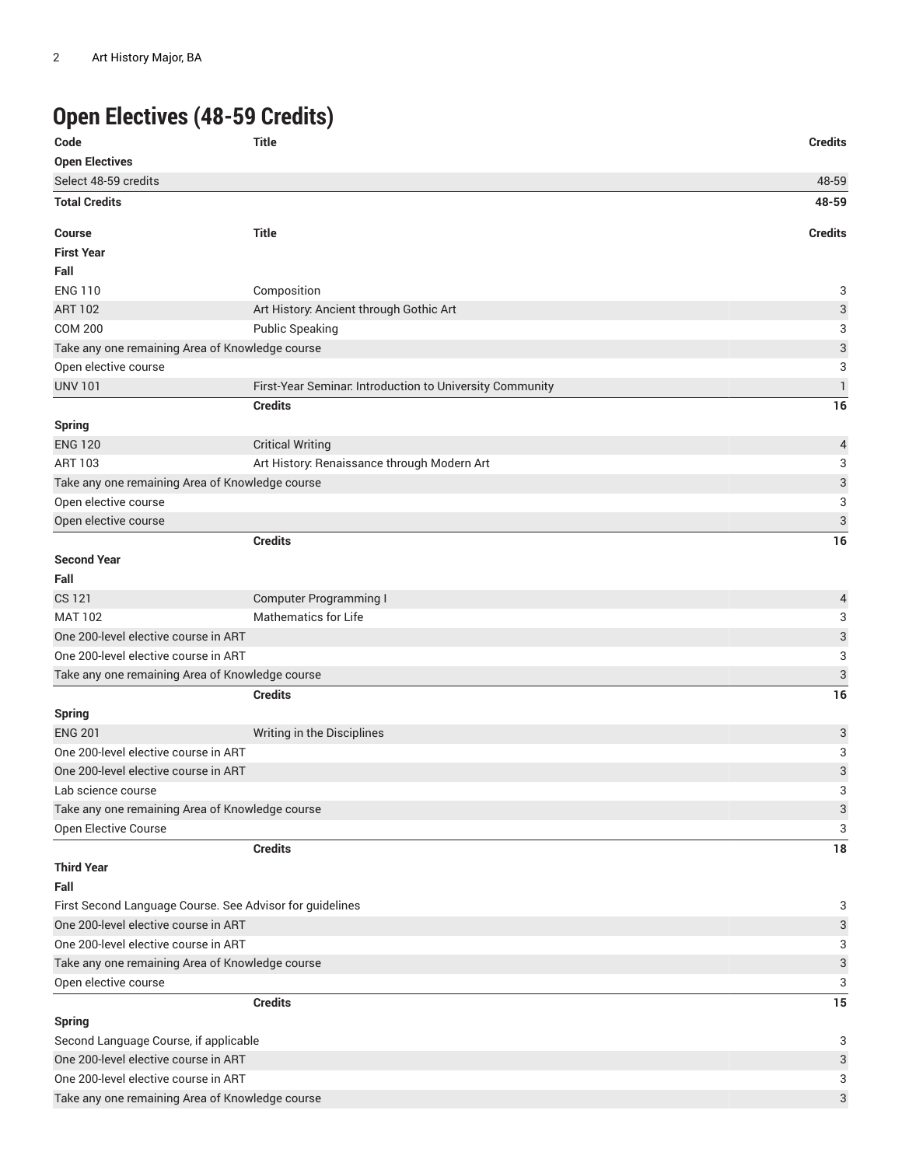## **Open Electives (48-59 Credits)**

| Code                                            | <b>Title</b>                                             | <b>Credits</b>            |
|-------------------------------------------------|----------------------------------------------------------|---------------------------|
| <b>Open Electives</b>                           |                                                          |                           |
| Select 48-59 credits                            |                                                          | 48-59                     |
| <b>Total Credits</b>                            |                                                          | 48-59                     |
| Course                                          | <b>Title</b>                                             | <b>Credits</b>            |
| <b>First Year</b>                               |                                                          |                           |
| Fall                                            |                                                          |                           |
| <b>ENG 110</b>                                  | Composition                                              | 3                         |
| <b>ART 102</b>                                  | Art History: Ancient through Gothic Art                  | 3                         |
| <b>COM 200</b>                                  | <b>Public Speaking</b>                                   | 3                         |
| Take any one remaining Area of Knowledge course |                                                          | $\sqrt{3}$                |
| Open elective course                            |                                                          | 3                         |
| <b>UNV 101</b>                                  | First-Year Seminar. Introduction to University Community | $\mathbf{1}$              |
|                                                 | <b>Credits</b>                                           | 16                        |
| <b>Spring</b>                                   |                                                          |                           |
| <b>ENG 120</b>                                  | <b>Critical Writing</b>                                  | 4                         |
| <b>ART 103</b>                                  | Art History: Renaissance through Modern Art              | 3                         |
| Take any one remaining Area of Knowledge course |                                                          | 3                         |
| Open elective course                            |                                                          | 3                         |
| Open elective course                            |                                                          | $\sqrt{3}$                |
|                                                 | <b>Credits</b>                                           | 16                        |
| <b>Second Year</b>                              |                                                          |                           |
| Fall                                            |                                                          |                           |
| <b>CS 121</b>                                   | <b>Computer Programming I</b>                            | 4                         |
| <b>MAT 102</b>                                  | Mathematics for Life                                     | 3                         |
| One 200-level elective course in ART            |                                                          | $\ensuremath{\mathsf{3}}$ |
| One 200-level elective course in ART            |                                                          | 3                         |
| Take any one remaining Area of Knowledge course |                                                          | $\sqrt{3}$                |
|                                                 | <b>Credits</b>                                           | 16                        |
| <b>Spring</b>                                   |                                                          |                           |
| <b>ENG 201</b>                                  | Writing in the Disciplines                               | 3                         |
| One 200-level elective course in ART            |                                                          | 3                         |
| One 200-level elective course in ART            |                                                          | $\ensuremath{\mathsf{3}}$ |
| Lab science course                              |                                                          | 3                         |
| Take any one remaining Area of Knowledge course |                                                          | 3                         |
| Open Elective Course                            |                                                          | 3                         |
|                                                 | <b>Credits</b>                                           | 18                        |
| <b>Third Year</b>                               |                                                          |                           |
| Fall                                            |                                                          |                           |
|                                                 | First Second Language Course. See Advisor for guidelines | 3                         |
| One 200-level elective course in ART            |                                                          | 3                         |
| One 200-level elective course in ART            |                                                          | 3                         |
| Take any one remaining Area of Knowledge course |                                                          | 3                         |
| Open elective course                            |                                                          | 3                         |
|                                                 | <b>Credits</b>                                           | 15                        |
| <b>Spring</b>                                   |                                                          |                           |
| Second Language Course, if applicable           |                                                          | 3                         |
| One 200-level elective course in ART            |                                                          | 3                         |
| One 200-level elective course in ART            |                                                          | 3                         |
| Take any one remaining Area of Knowledge course |                                                          | 3                         |
|                                                 |                                                          |                           |